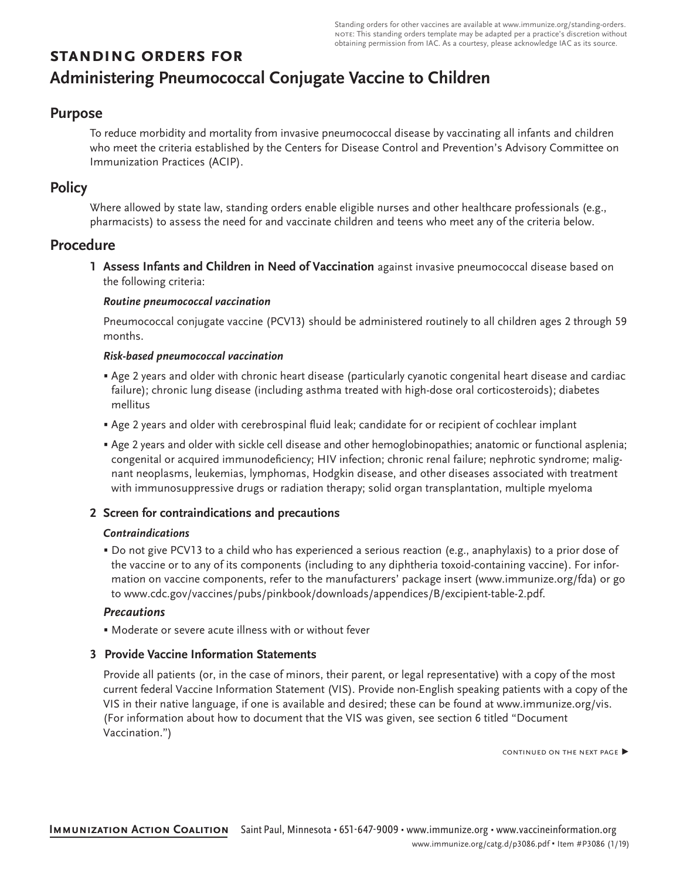Standing orders for other vaccines are available at [www.immunize.org/standing-orders.](http://www.immunize.org/standing-orders) note: This standing orders template may be adapted per a practice's discretion without obtaining permission from IAC. As a courtesy, please acknowledge IAC as its source.

# **standing orders for Administering Pneumococcal Conjugate Vaccine to Children**

### **Purpose**

To reduce morbidity and mortality from invasive pneumococcal disease by vaccinating all infants and children who meet the criteria established by the Centers for Disease Control and Prevention's Advisory Committee on Immunization Practices (ACIP).

# **Policy**

Where allowed by state law, standing orders enable eligible nurses and other healthcare professionals (e.g., pharmacists) to assess the need for and vaccinate children and teens who meet any of the criteria below.

# **Procedure**

**1 Assess Infants and Children in Need of Vaccination** against invasive pneumococcal disease based on the following criteria:

#### *Routine pneumococcal vaccination*

Pneumococcal conjugate vaccine (PCV13) should be administered routinely to all children ages 2 through 59 months.

#### *Risk-based pneumococcal vaccination*

- Age 2 years and older with chronic heart disease (particularly cyanotic congenital heart disease and cardiac failure); chronic lung disease (including asthma treated with high-dose oral corticosteroids); diabetes mellitus
- Age 2 years and older with cerebrospinal fluid leak; candidate for or recipient of cochlear implant
- Age 2 years and older with sickle cell disease and other hemoglobinopathies; anatomic or functional asplenia; congenital or acquired immunodeficiency; HIV infection; chronic renal failure; nephrotic syndrome; malignant neoplasms, leukemias, lymphomas, Hodgkin disease, and other diseases associated with treatment with immunosuppressive drugs or radiation therapy; solid organ transplantation, multiple myeloma

#### **2 Screen for contraindications and precautions**

#### *Contraindications*

• Do not give PCV13 to a child who has experienced a serious reaction (e.g., anaphylaxis) to a prior dose of the vaccine or to any of its components (including to any diphtheria toxoid-containing vaccine). For information on vaccine components, refer to the manufacturers' package insert ([www.immunize.org/fda\)](http://www.immunize.org/fda) or go to [www.cdc.gov/vaccines/pubs/pinkbook/downloads/appendices/B/excipient-table-2.pdf](http://www.cdc.gov/vaccines/pubs/pinkbook/downloads/appendices/B/excipient-table-2.pdf).

#### *Precautions*

• Moderate or severe acute illness with or without fever

#### **3 Provide Vaccine Information Statements**

Provide all patients (or, in the case of minors, their parent, or legal representative) with a copy of the most current federal Vaccine Information Statement (VIS). Provide non-English speaking patients with a copy of the VIS in their native language, if one is available and desired; these can be found at [www.immunize.org/vis.](http://www.immunize.org/vis) (For information about how to document that the VIS was given, see section 6 titled "Document Vaccination.")

continued on the next page ▶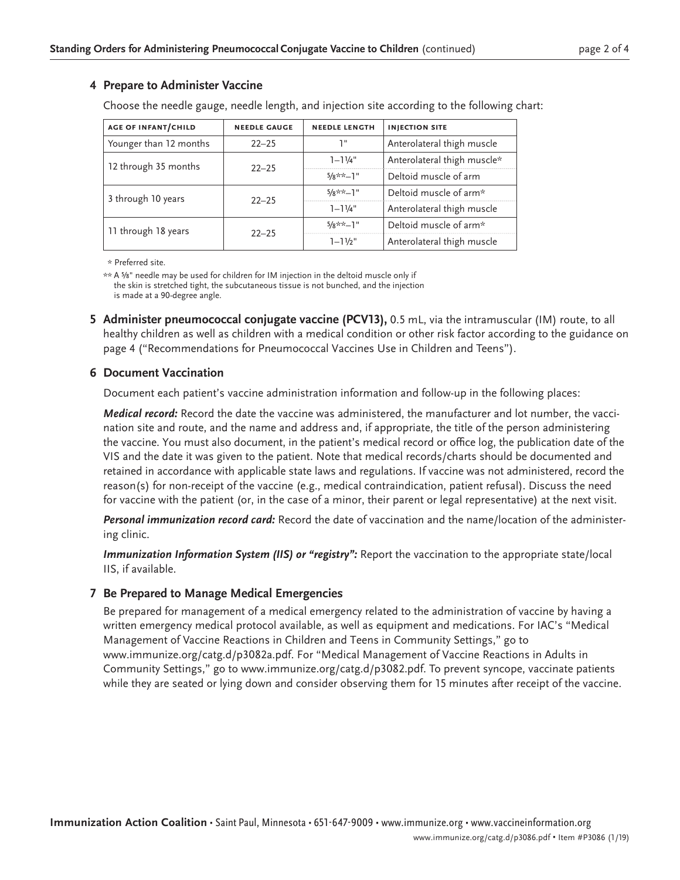#### **4 Prepare to Administer Vaccine**

Choose the needle gauge, needle length, and injection site according to the following chart:

| <b>AGE OF INFANT/CHILD</b> | <b>NEEDLE GAUGE</b> | <b>NEEDLE LENGTH</b> | <b>INJECTION SITE</b>       |
|----------------------------|---------------------|----------------------|-----------------------------|
| Younger than 12 months     | $22 - 25$           | יי ד                 | Anterolateral thigh muscle  |
| 12 through 35 months       | $22 - 25$           | $1 - 1\frac{1}{4}$ " | Anterolateral thigh muscle* |
|                            |                     | $5/8$ **-1"          | Deltoid muscle of arm       |
| 3 through 10 years         | $22 - 25$           | $5/x**-1"$           | Deltoid muscle of arm*      |
|                            |                     | $1 - 11/4$ "         | Anterolateral thigh muscle  |
| 11 through 18 years        | $22 - 25$           | $5/8**-1"$           | Deltoid muscle of arm*      |
|                            |                     | $1 - 11/2$ "         | Anterolateral thigh muscle  |

\* Preferred site.

\*\* A ⅝" needle may be used for children for IM injection in the deltoid muscle only if the skin is stretched tight, the subcutaneous tissue is not bunched, and the injection is made at a 90-degree angle.

**5 Administer pneumococcal conjugate vaccine (PCV13),** 0.5 mL, via the intramuscular (IM) route, to all healthy children as well as children with a medical condition or other risk factor according to the guidance on page 4 ("Recommendations for Pneumococcal Vaccines Use in Children and Teens").

#### **6 Document Vaccination**

Document each patient's vaccine administration information and follow-up in the following places:

*Medical record:* Record the date the vaccine was administered, the manufacturer and lot number, the vaccination site and route, and the name and address and, if appropriate, the title of the person administering the vaccine. You must also document, in the patient's medical record or office log, the publication date of the VIS and the date it was given to the patient. Note that medical records/charts should be documented and retained in accordance with applicable state laws and regulations. If vaccine was not administered, record the reason(s) for non-receipt of the vaccine (e.g., medical contraindication, patient refusal). Discuss the need for vaccine with the patient (or, in the case of a minor, their parent or legal representative) at the next visit.

*Personal immunization record card:* Record the date of vaccination and the name/location of the administering clinic.

*Immunization Information System (IIS) or "registry":* Report the vaccination to the appropriate state/local IIS, if available.

#### **7 Be Prepared to Manage Medical Emergencies**

Be prepared for management of a medical emergency related to the administration of vaccine by having a written emergency medical protocol available, as well as equipment and medications. For IAC's "Medical Management of Vaccine Reactions in Children and Teens in Community Settings," go to [www.immunize.org/catg.d/p3082a.pdf](http://www.immunize.org/catg.d/p3082a.pdf). For "Medical Management of Vaccine Reactions in Adults in Community Settings," go to [www.immunize.org/catg.d/p3082.pdf](http://www.immunize.org/catg.d/p3082.pdf). To prevent syncope, vaccinate patients while they are seated or lying down and consider observing them for 15 minutes after receipt of the vaccine.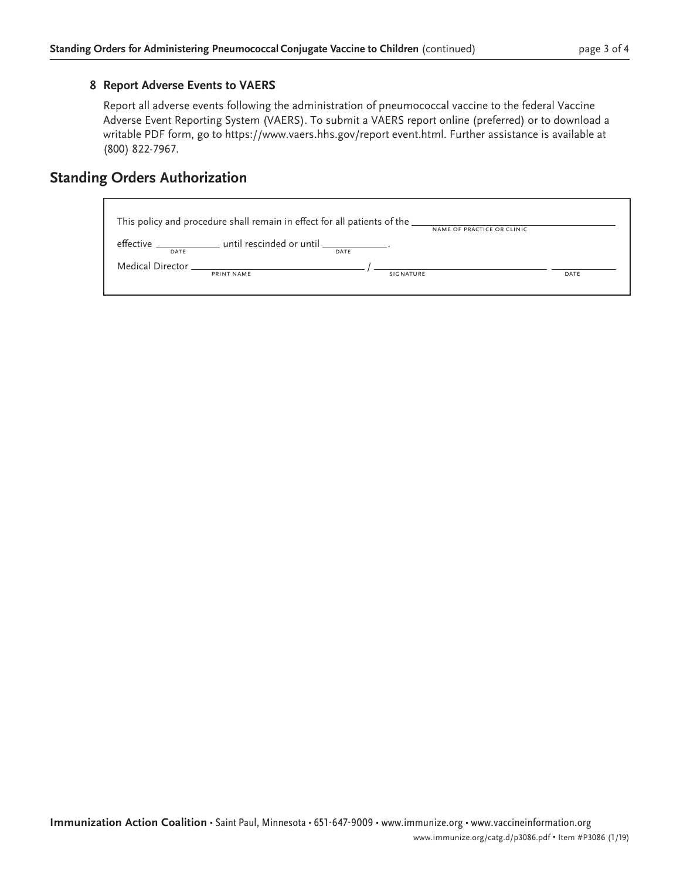#### **8 Report Adverse Events to VAERS**

Report all adverse events following the administration of pneumococcal vaccine to the federal Vaccine Adverse Event Reporting System (VAERS). To submit a VAERS report online (preferred) or to download a writable PDF form, go to [https://www.vaers.hhs.gov/report event.html.](https://www.vaers.hhs.gov/report event.html) Further assistance is available at (800) 822-7967.

# **Standing Orders Authorization**

| This policy and procedure shall remain in effect for all patients of the ________<br>NAME OF PRACTICE OR CLINIC |                                                                                   |           |      |
|-----------------------------------------------------------------------------------------------------------------|-----------------------------------------------------------------------------------|-----------|------|
| DATE                                                                                                            | effective __________________ until rescinded or until __________________.<br>DATE |           |      |
|                                                                                                                 | PRINT NAME                                                                        | SIGNATURE | DATE |